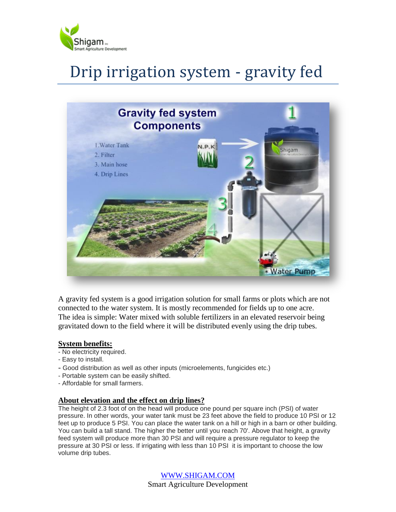

# Drip irrigation system - gravity fed



A gravity fed system is a good irrigation solution for small farms or plots which are not connected to the water system. It is mostly recommended for fields up to one acre. The idea is simple: Water mixed with soluble fertilizers in an elevated reservoir being gravitated down to the field where it will be distributed evenly using the drip tubes.

#### **System benefits:**

- No electricity required.
- Easy to install.
- Good distribution as well as other inputs (microelements, fungicides etc.)
- Portable system can be easily shifted.
- Affordable for small farmers.

#### **About elevation and the effect on drip lines?**

The height of 2.3 foot of on the head will produce one pound per square inch (PSI) of water pressure. In other words, your water tank must be 23 feet above the field to produce 10 PSI or 12 feet up to produce 5 PSI. You can place the water tank on a hill or high in a barn or other building. You can build a tall stand. The higher the better until you reach 70'. Above that height, a gravity feed system will produce more than 30 PSI and will require a pressure regulator to keep the pressure at 30 PSI or less. If irrigating with less than 10 PSI it is important to choose the low volume drip tubes.